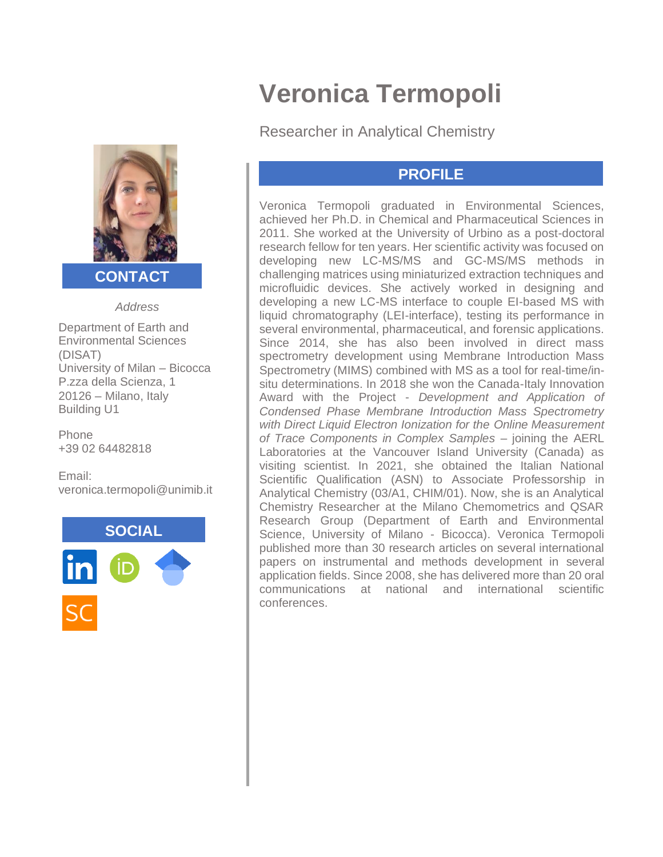

### **CONTACT**

*Address*

Department of Earth and Environmental Sciences (DISAT) University of Milan – Bicocca P.zza della Scienza, 1 20126 – Milano, Italy Building U1

Phone +39 02 64482818

Email: veronica.termopoli@unimib.it



# **Veronica Termopoli**

Researcher in Analytical Chemistry

### **PROFILE**

Veronica Termopoli graduated in Environmental Sciences, achieved her Ph.D. in Chemical and Pharmaceutical Sciences in 2011. She worked at the University of Urbino as a post-doctoral research fellow for ten years. Her scientific activity was focused on developing new LC-MS/MS and GC-MS/MS methods in challenging matrices using miniaturized extraction techniques and microfluidic devices. She actively worked in designing and developing a new LC-MS interface to couple EI-based MS with liquid chromatography (LEI-interface), testing its performance in several environmental, pharmaceutical, and forensic applications. Since 2014, she has also been involved in direct mass spectrometry development using Membrane Introduction Mass Spectrometry (MIMS) combined with MS as a tool for real-time/insitu determinations. In 2018 she won the Canada-Italy Innovation Award with the Project - *Development and Application of Condensed Phase Membrane Introduction Mass Spectrometry with Direct Liquid Electron Ionization for the Online Measurement of Trace Components in Complex Samples* – joining the AERL Laboratories at the Vancouver Island University (Canada) as visiting scientist. In 2021, she obtained the Italian National Scientific Qualification (ASN) to Associate Professorship in Analytical Chemistry (03/A1, CHIM/01). Now, she is an Analytical Chemistry Researcher at the Milano Chemometrics and QSAR Research Group (Department of Earth and Environmental Science, University of Milano - Bicocca). Veronica Termopoli published more than 30 research articles on several international papers on instrumental and methods development in several application fields. Since 2008, she has delivered more than 20 oral communications at national and international scientific conferences.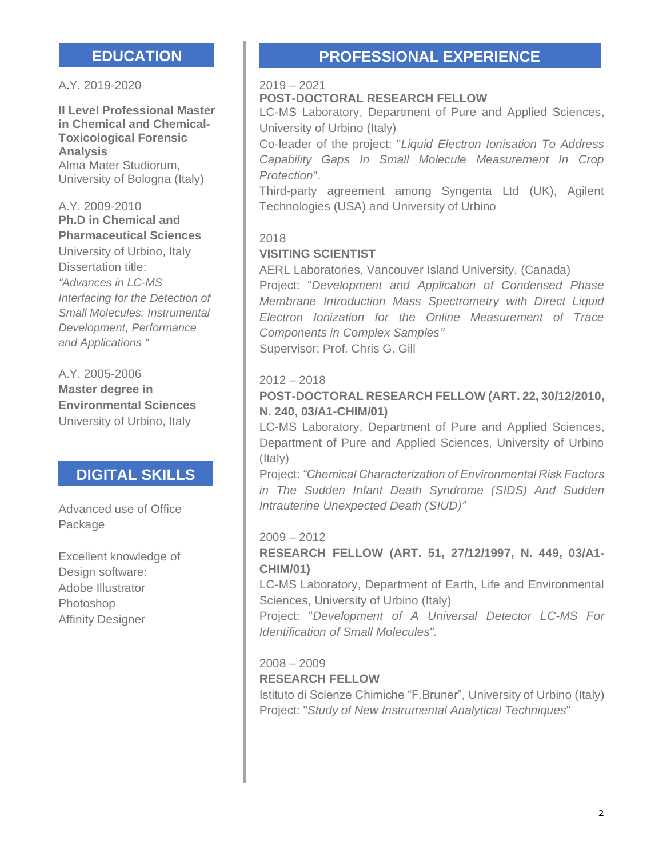A.Y. 2019-2020

**II Level Professional Master in Chemical and Chemical-Toxicological Forensic Analysis** Alma Mater Studiorum, University of Bologna (Italy)

#### A.Y. 2009-2010 **Ph.D in Chemical and Pharmaceutical Sciences**

University of Urbino, Italy Dissertation title: *"Advances in LC-MS Interfacing for the Detection of Small Molecules: Instrumental Development, Performance and Applications "*

A.Y. 2005-2006 **Master degree in Environmental Sciences** University of Urbino, Italy

### **DIGITAL SKILLS**

Advanced use of Office Package

Excellent knowledge of Design software: Adobe Illustrator Photoshop Affinity Designer

## **EDUCATION PROFESSIONAL EXPERIENCE**

#### 2019 – 2021

#### **POST-DOCTORAL RESEARCH FELLOW**

LC-MS Laboratory, Department of Pure and Applied Sciences, University of Urbino (Italy)

Co-leader of the project: "*Liquid Electron Ionisation To Address Capability Gaps In Small Molecule Measurement In Crop Protection*".

Third-party agreement among Syngenta Ltd (UK), Agilent Technologies (USA) and University of Urbino

#### 2018

#### **VISITING SCIENTIST**

AERL Laboratories, Vancouver Island University, (Canada)

Project: "*Development and Application of Condensed Phase Membrane Introduction Mass Spectrometry with Direct Liquid Electron Ionization for the Online Measurement of Trace Components in Complex Samples"*  Supervisor: Prof. Chris G. Gill

#### $2012 - 2018$

#### **POST-DOCTORAL RESEARCH FELLOW (ART. 22, 30/12/2010, N. 240, 03/A1-CHIM/01)**

LC-MS Laboratory, Department of Pure and Applied Sciences, Department of Pure and Applied Sciences, University of Urbino (Italy)

Project: *"Chemical Characterization of Environmental Risk Factors in The Sudden Infant Death Syndrome (SIDS) And Sudden Intrauterine Unexpected Death (SIUD)"*

#### 2009 – 2012

#### **RESEARCH FELLOW (ART. 51, 27/12/1997, N. 449, 03/A1- CHIM/01)**

LC-MS Laboratory, Department of Earth, Life and Environmental Sciences, University of Urbino (Italy)

Project: "*Development of A Universal Detector LC-MS For Identification of Small Molecules".*

#### 2008 – 2009 **RESEARCH FELLOW**

Istituto di Scienze Chimiche "F.Bruner", University of Urbino (Italy) Project: "*Study of New Instrumental Analytical Techniques*"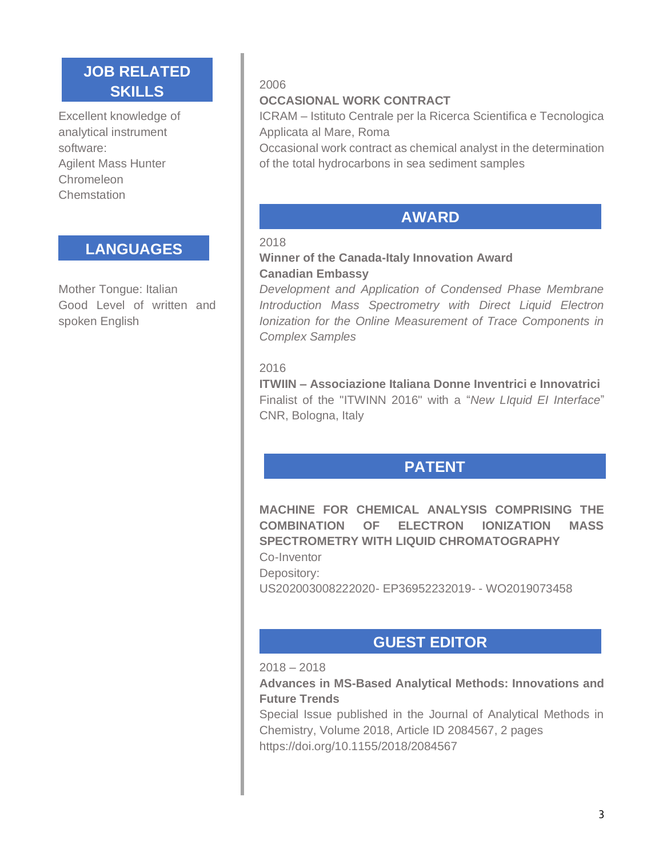### **JOB RELATED SKILLS**

Excellent knowledge of analytical instrument software: Agilent Mass Hunter **Chromeleon Chemstation** 

### **LANGUAGES**

Mother Tongue: Italian Good Level of written and spoken English

#### 2006

#### **OCCASIONAL WORK CONTRACT**

ICRAM – Istituto Centrale per la Ricerca Scientifica e Tecnologica Applicata al Mare, Roma

Occasional work contract as chemical analyst in the determination of the total hydrocarbons in sea sediment samples

### **AWARD**

#### 2018

#### **Winner of the Canada-Italy Innovation Award Canadian Embassy**

*Development and Application of Condensed Phase Membrane Introduction Mass Spectrometry with Direct Liquid Electron Ionization for the Online Measurement of Trace Components in Complex Samples*

#### 2016

**ITWIIN – Associazione Italiana Donne Inventrici e Innovatrici** Finalist of the "ITWINN 2016" with a "*New LIquid EI Interface*" CNR, Bologna, Italy

## **PATENT**

**MACHINE FOR CHEMICAL ANALYSIS COMPRISING THE COMBINATION OF ELECTRON IONIZATION MASS SPECTROMETRY WITH LIQUID CHROMATOGRAPHY** 

Co-Inventor Depository: US202003008222020- EP36952232019- - WO2019073458

### **GUEST EDITOR**

#### 2018 – 2018

#### **Advances in MS-Based Analytical Methods: Innovations and Future Trends**

Special Issue published in the Journal of Analytical Methods in Chemistry, Volume 2018, Article ID 2084567, 2 pages https://doi.org/10.1155/2018/2084567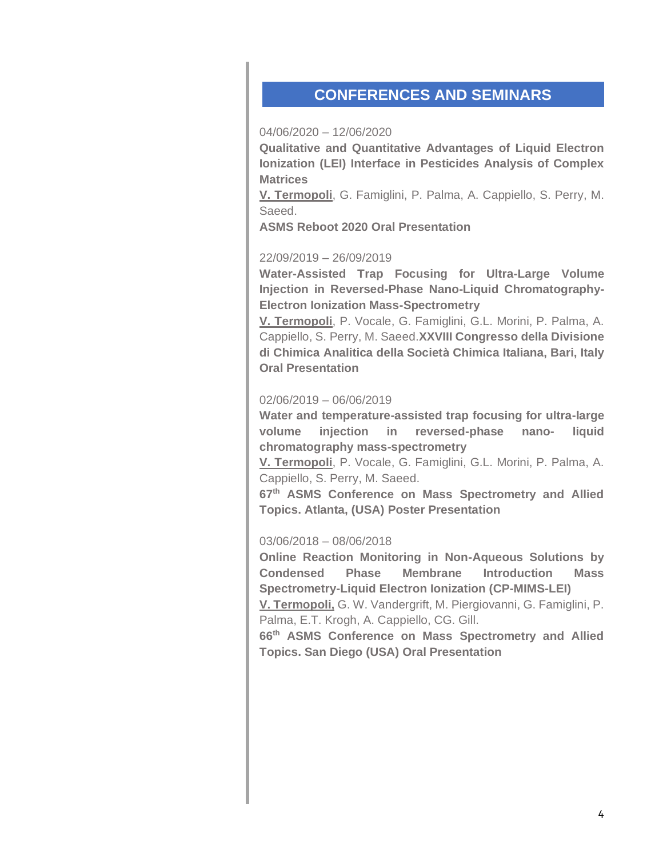### **CONFERENCES AND SEMINARS**

#### 04/06/2020 – 12/06/2020

**Qualitative and Quantitative Advantages of Liquid Electron Ionization (LEI) Interface in Pesticides Analysis of Complex Matrices** 

**V. Termopoli**, G. Famiglini, P. Palma, A. Cappiello, S. Perry, M. Saeed.

**ASMS Reboot 2020 Oral Presentation** 

#### 22/09/2019 – 26/09/2019

**Water-Assisted Trap Focusing for Ultra-Large Volume Injection in Reversed-Phase Nano-Liquid Chromatography-Electron Ionization Mass-Spectrometry** 

**V. Termopoli**, P. Vocale, G. Famiglini, G.L. Morini, P. Palma, A. Cappiello, S. Perry, M. Saeed.**XXVIII Congresso della Divisione di Chimica Analitica della Società Chimica Italiana, Bari, Italy Oral Presentation** 

#### 02/06/2019 – 06/06/2019

**Water and temperature-assisted trap focusing for ultra-large volume injection in reversed-phase nano- liquid chromatography mass-spectrometry** 

**V. Termopoli**, P. Vocale, G. Famiglini, G.L. Morini, P. Palma, A. Cappiello, S. Perry, M. Saeed.

**67th ASMS Conference on Mass Spectrometry and Allied Topics. Atlanta, (USA) Poster Presentation** 

#### 03/06/2018 – 08/06/2018

**Online Reaction Monitoring in Non-Aqueous Solutions by Condensed Phase Membrane Introduction Mass Spectrometry-Liquid Electron Ionization (CP-MIMS-LEI)** 

**V. Termopoli,** G. W. Vandergrift, M. Piergiovanni, G. Famiglini, P. Palma, E.T. Krogh, A. Cappiello, CG. Gill.

**66th ASMS Conference on Mass Spectrometry and Allied Topics. San Diego (USA) Oral Presentation**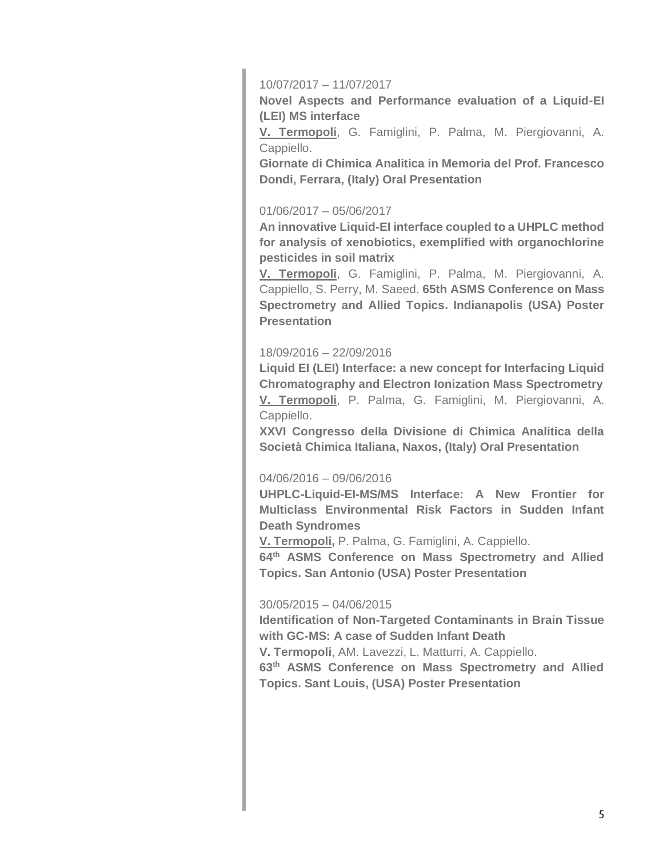#### 10/07/2017 – 11/07/2017

**Novel Aspects and Performance evaluation of a Liquid-EI (LEI) MS interface** 

**V. Termopoli**, G. Famiglini, P. Palma, M. Piergiovanni, A. Cappiello.

**Giornate di Chimica Analitica in Memoria del Prof. Francesco Dondi, Ferrara, (Italy) Oral Presentation** 

#### 01/06/2017 – 05/06/2017

**An innovative Liquid-EI interface coupled to a UHPLC method for analysis of xenobiotics, exemplified with organochlorine pesticides in soil matrix** 

**V. Termopoli**, G. Famiglini, P. Palma, M. Piergiovanni, A. Cappiello, S. Perry, M. Saeed. **65th ASMS Conference on Mass Spectrometry and Allied Topics. Indianapolis (USA) Poster Presentation** 

#### 18/09/2016 – 22/09/2016

**Liquid EI (LEI) Interface: a new concept for Interfacing Liquid Chromatography and Electron Ionization Mass Spectrometry V. Termopoli**, P. Palma, G. Famiglini, M. Piergiovanni, A. Cappiello.

**XXVI Congresso della Divisione di Chimica Analitica della Società Chimica Italiana, Naxos, (Italy) Oral Presentation** 

#### 04/06/2016 – 09/06/2016

**UHPLC-Liquid-EI-MS/MS Interface: A New Frontier for Multiclass Environmental Risk Factors in Sudden Infant Death Syndromes** 

**V. Termopoli,** P. Palma, G. Famiglini, A. Cappiello.

**64th ASMS Conference on Mass Spectrometry and Allied Topics. San Antonio (USA) Poster Presentation** 

#### 30/05/2015 – 04/06/2015

**Identification of Non-Targeted Contaminants in Brain Tissue with GC-MS: A case of Sudden Infant Death V. Termopoli**, AM. Lavezzi, L. Matturri, A. Cappiello. **63th ASMS Conference on Mass Spectrometry and Allied Topics. Sant Louis, (USA) Poster Presentation**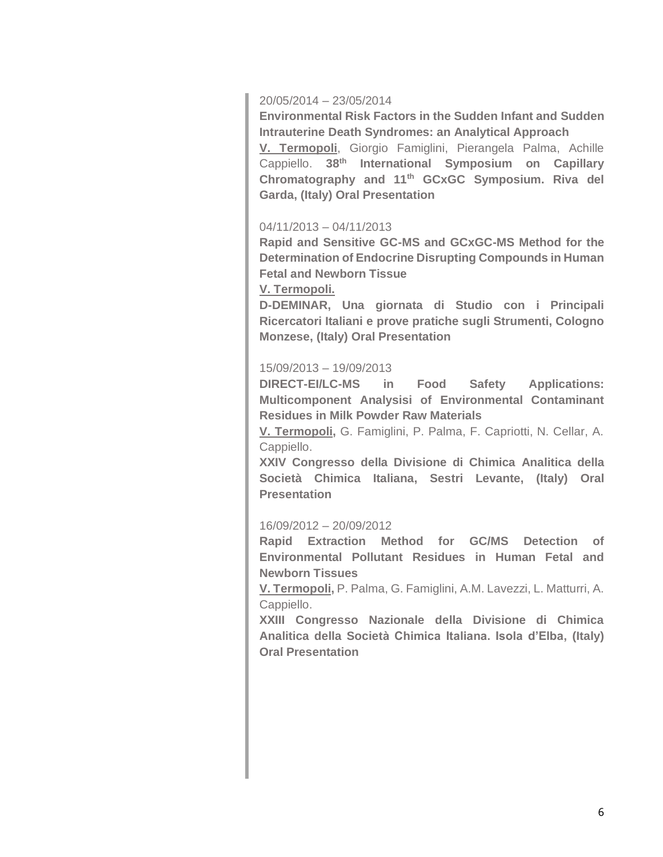#### 20/05/2014 – 23/05/2014

**Environmental Risk Factors in the Sudden Infant and Sudden Intrauterine Death Syndromes: an Analytical Approach** 

**V. Termopoli**, Giorgio Famiglini, Pierangela Palma, Achille Cappiello. **38th International Symposium on Capillary Chromatography and 11th GCxGC Symposium. Riva del Garda, (Italy) Oral Presentation** 

#### 04/11/2013 – 04/11/2013

**Rapid and Sensitive GC-MS and GCxGC-MS Method for the Determination of Endocrine Disrupting Compounds in Human Fetal and Newborn Tissue** 

#### **V. Termopoli.**

**D-DEMINAR, Una giornata di Studio con i Principali Ricercatori Italiani e prove pratiche sugli Strumenti, Cologno Monzese, (Italy) Oral Presentation** 

#### 15/09/2013 – 19/09/2013

**DIRECT-EI/LC-MS in Food Safety Applications: Multicomponent Analysisi of Environmental Contaminant Residues in Milk Powder Raw Materials** 

**V. Termopoli,** G. Famiglini, P. Palma, F. Capriotti, N. Cellar, A. Cappiello.

**XXIV Congresso della Divisione di Chimica Analitica della Società Chimica Italiana, Sestri Levante, (Italy) Oral Presentation**

#### 16/09/2012 – 20/09/2012

**Rapid Extraction Method for GC/MS Detection of Environmental Pollutant Residues in Human Fetal and Newborn Tissues** 

**V. Termopoli,** P. Palma, G. Famiglini, A.M. Lavezzi, L. Matturri, A. Cappiello.

**XXIII Congresso Nazionale della Divisione di Chimica Analitica della Società Chimica Italiana. Isola d'Elba, (Italy) Oral Presentation**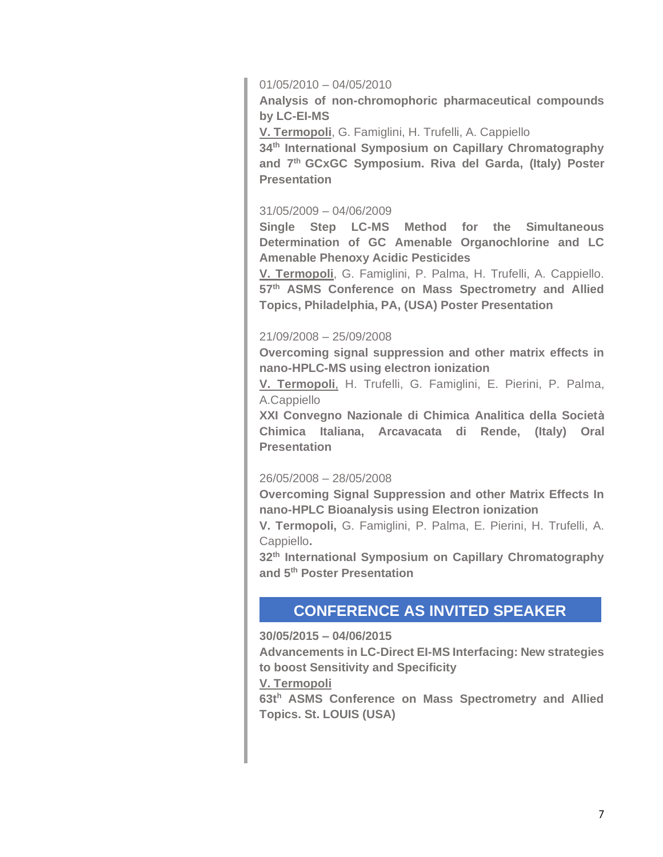#### 01/05/2010 – 04/05/2010

**Analysis of non-chromophoric pharmaceutical compounds by LC-EI-MS** 

**V. Termopoli**, G. Famiglini, H. Trufelli, A. Cappiello

**34th International Symposium on Capillary Chromatography and 7th GCxGC Symposium. Riva del Garda, (Italy) Poster Presentation** 

#### 31/05/2009 – 04/06/2009

**Single Step LC-MS Method for the Simultaneous Determination of GC Amenable Organochlorine and LC Amenable Phenoxy Acidic Pesticides** 

**V. Termopoli**, G. Famiglini, P. Palma, H. Trufelli, A. Cappiello. **57th ASMS Conference on Mass Spectrometry and Allied Topics, Philadelphia, PA, (USA) Poster Presentation** 

#### 21/09/2008 – 25/09/2008

**Overcoming signal suppression and other matrix effects in nano-HPLC-MS using electron ionization** 

**V. Termopoli**, H. Trufelli, G. Famiglini, E. Pierini, P. Palma, A.Cappiello

**XXI Convegno Nazionale di Chimica Analitica della Società Chimica Italiana, Arcavacata di Rende, (Italy) Oral Presentation** 

#### 26/05/2008 – 28/05/2008

**Overcoming Signal Suppression and other Matrix Effects In nano-HPLC Bioanalysis using Electron ionization** 

**V. Termopoli,** G. Famiglini, P. Palma, E. Pierini, H. Trufelli, A. Cappiello**.**

**32th International Symposium on Capillary Chromatography and 5th Poster Presentation** 

### **CONFERENCE AS INVITED SPEAKER**

#### **30/05/2015 – 04/06/2015**

**Advancements in LC-Direct EI-MS Interfacing: New strategies to boost Sensitivity and Specificity** 

#### **V. Termopoli**

**63t<sup>h</sup> ASMS Conference on Mass Spectrometry and Allied Topics. St. LOUIS (USA)**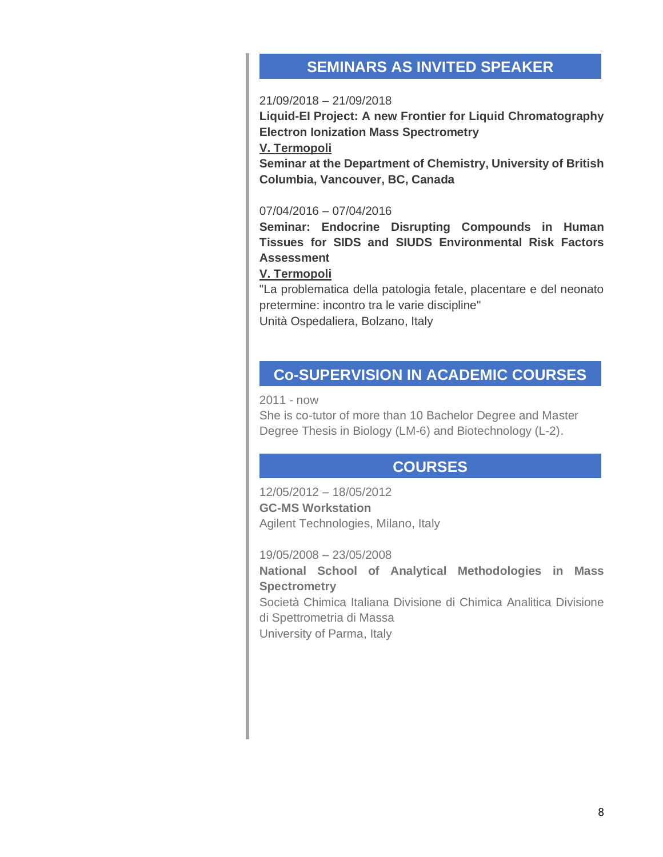### **SEMINARS AS INVITED SPEAKER**

#### 21/09/2018 – 21/09/2018

**Liquid-EI Project: A new Frontier for Liquid Chromatography Electron Ionization Mass Spectrometry** 

**V. Termopoli** 

**Seminar at the Department of Chemistry, University of British Columbia, Vancouver, BC, Canada** 

#### 07/04/2016 – 07/04/2016

**Seminar: Endocrine Disrupting Compounds in Human Tissues for SIDS and SIUDS Environmental Risk Factors Assessment** 

#### **V. Termopoli**

"La problematica della patologia fetale, placentare e del neonato pretermine: incontro tra le varie discipline" Unità Ospedaliera, Bolzano, Italy

### **Co-SUPERVISION IN ACADEMIC COURSES**

2011 - now

She is co-tutor of more than 10 Bachelor Degree and Master Degree Thesis in Biology (LM-6) and Biotechnology (L-2).

### **COURSES**

12/05/2012 – 18/05/2012 **GC-MS Workstation**  Agilent Technologies, Milano, Italy

19/05/2008 – 23/05/2008

**National School of Analytical Methodologies in Mass Spectrometry**  Società Chimica Italiana Divisione di Chimica Analitica Divisione di Spettrometria di Massa University of Parma, Italy